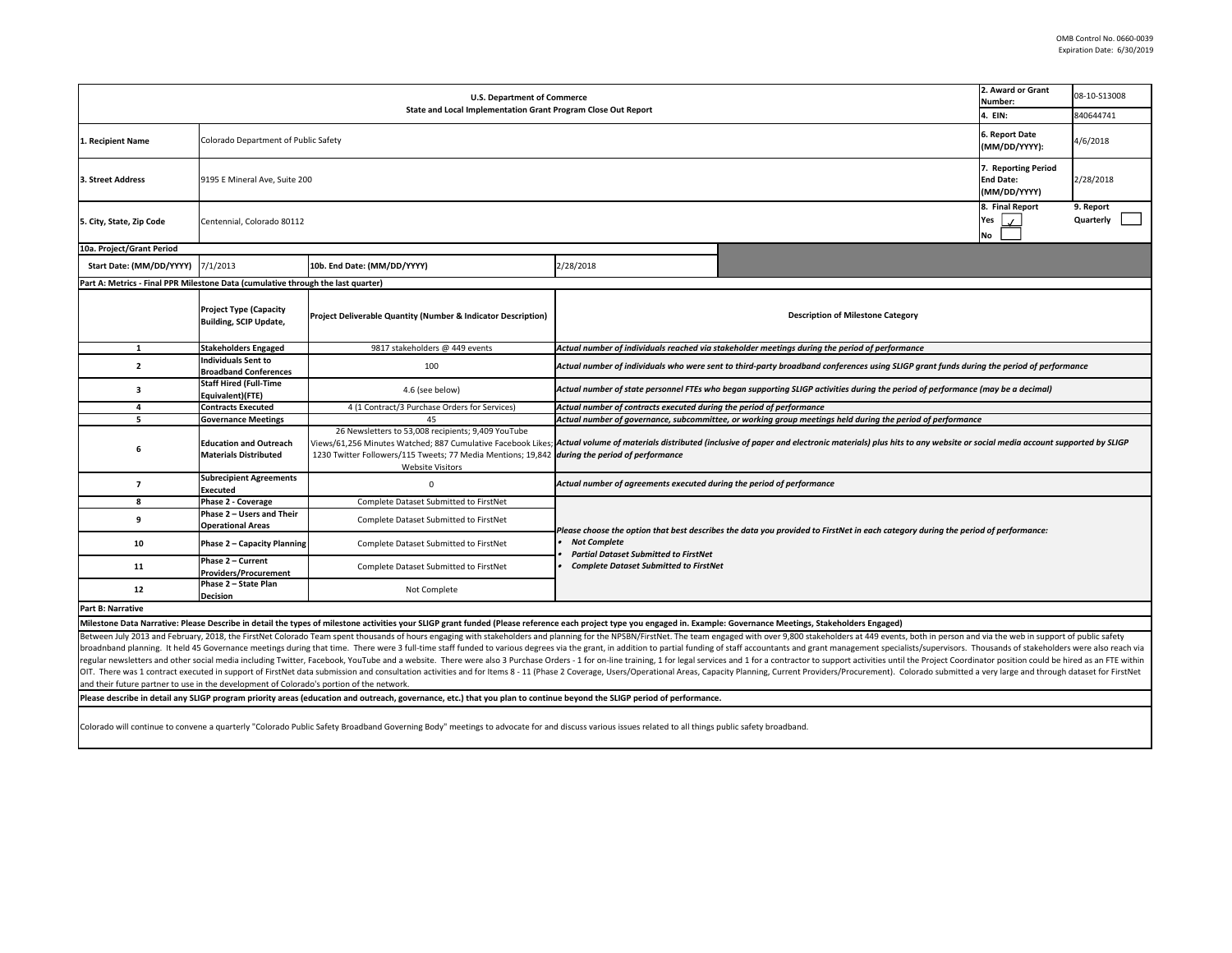| <b>U.S. Department of Commerce</b><br>State and Local Implementation Grant Program Close Out Report                                                                     |                                                                |                                                                                                                                                                                                                       |                                                                                                                                                                                                                                                          |                                                                                                                                                                                                                                                                                                                                                                                                                                                                  | 2. Award or Grant<br>Number:<br>4. EIN:                 | 08-10-S13008<br>840644741 |  |  |
|-------------------------------------------------------------------------------------------------------------------------------------------------------------------------|----------------------------------------------------------------|-----------------------------------------------------------------------------------------------------------------------------------------------------------------------------------------------------------------------|----------------------------------------------------------------------------------------------------------------------------------------------------------------------------------------------------------------------------------------------------------|------------------------------------------------------------------------------------------------------------------------------------------------------------------------------------------------------------------------------------------------------------------------------------------------------------------------------------------------------------------------------------------------------------------------------------------------------------------|---------------------------------------------------------|---------------------------|--|--|
| . Recipient Name                                                                                                                                                        | Colorado Department of Public Safety                           |                                                                                                                                                                                                                       |                                                                                                                                                                                                                                                          |                                                                                                                                                                                                                                                                                                                                                                                                                                                                  | 6. Report Date<br>(MM/DD/YYYY):                         | 4/6/2018                  |  |  |
| 3. Street Address                                                                                                                                                       | 9195 E Mineral Ave, Suite 200                                  |                                                                                                                                                                                                                       |                                                                                                                                                                                                                                                          |                                                                                                                                                                                                                                                                                                                                                                                                                                                                  | 7. Reporting Period<br><b>End Date:</b><br>(MM/DD/YYYY) | 2/28/2018                 |  |  |
| 5. City, State, Zip Code                                                                                                                                                | Centennial, Colorado 80112                                     |                                                                                                                                                                                                                       |                                                                                                                                                                                                                                                          |                                                                                                                                                                                                                                                                                                                                                                                                                                                                  | 8. Final Report<br>Yes<br>$\mathcal{L}$<br>No           | 9. Report<br>Quarterly    |  |  |
| 10a. Project/Grant Period                                                                                                                                               |                                                                |                                                                                                                                                                                                                       |                                                                                                                                                                                                                                                          |                                                                                                                                                                                                                                                                                                                                                                                                                                                                  |                                                         |                           |  |  |
| Start Date: (MM/DD/YYYY)                                                                                                                                                | 7/1/2013                                                       | 10b. End Date: (MM/DD/YYYY)                                                                                                                                                                                           | 2/28/2018                                                                                                                                                                                                                                                |                                                                                                                                                                                                                                                                                                                                                                                                                                                                  |                                                         |                           |  |  |
| Part A: Metrics - Final PPR Milestone Data (cumulative through the last quarter)                                                                                        |                                                                |                                                                                                                                                                                                                       |                                                                                                                                                                                                                                                          |                                                                                                                                                                                                                                                                                                                                                                                                                                                                  |                                                         |                           |  |  |
|                                                                                                                                                                         | <b>Project Type (Capacity</b><br><b>Building, SCIP Update,</b> | Project Deliverable Quantity (Number & Indicator Description)                                                                                                                                                         | <b>Description of Milestone Category</b>                                                                                                                                                                                                                 |                                                                                                                                                                                                                                                                                                                                                                                                                                                                  |                                                         |                           |  |  |
| $\mathbf{1}$                                                                                                                                                            | <b>Stakeholders Engaged</b>                                    | 9817 stakeholders @ 449 events                                                                                                                                                                                        | Actual number of individuals reached via stakeholder meetings during the period of performance                                                                                                                                                           |                                                                                                                                                                                                                                                                                                                                                                                                                                                                  |                                                         |                           |  |  |
| $\overline{2}$                                                                                                                                                          | <b>Individuals Sent to</b><br><b>Broadband Conferences</b>     | 100                                                                                                                                                                                                                   | Actual number of individuals who were sent to third-party broadband conferences using SLIGP grant funds during the period of performance                                                                                                                 |                                                                                                                                                                                                                                                                                                                                                                                                                                                                  |                                                         |                           |  |  |
| $\overline{\mathbf{3}}$                                                                                                                                                 | <b>Staff Hired (Full-Time</b><br>Equivalent)(FTE)              | 4.6 (see below)                                                                                                                                                                                                       | Actual number of state personnel FTEs who began supporting SLIGP activities during the period of performance (may be a decimal)                                                                                                                          |                                                                                                                                                                                                                                                                                                                                                                                                                                                                  |                                                         |                           |  |  |
| 4                                                                                                                                                                       | <b>Contracts Executed</b>                                      | 4 (1 Contract/3 Purchase Orders for Services)                                                                                                                                                                         | Actual number of contracts executed during the period of performance                                                                                                                                                                                     |                                                                                                                                                                                                                                                                                                                                                                                                                                                                  |                                                         |                           |  |  |
| 5                                                                                                                                                                       | <b>Governance Meetings</b>                                     | 45                                                                                                                                                                                                                    | Actual number of governance, subcommittee, or working group meetings held during the period of performance                                                                                                                                               |                                                                                                                                                                                                                                                                                                                                                                                                                                                                  |                                                         |                           |  |  |
| 6                                                                                                                                                                       | <b>Education and Outreach</b><br><b>Materials Distributed</b>  | 26 Newsletters to 53,008 recipients; 9,409 YouTube<br>1230 Twitter Followers/115 Tweets; 77 Media Mentions; 19,842 during the period of performance<br><b>Website Visitors</b>                                        | Views/61,256 Minutes Watched; 887 Cumulative Facebook Likes; Actual volume of materials distributed (inclusive of paper and electronic materials) plus hits to any website or social media account supported by SLIGP                                    |                                                                                                                                                                                                                                                                                                                                                                                                                                                                  |                                                         |                           |  |  |
| $\overline{7}$                                                                                                                                                          | <b>Subrecipient Agreements</b><br><b>Executed</b>              | $\Omega$                                                                                                                                                                                                              | Actual number of agreements executed during the period of performance                                                                                                                                                                                    |                                                                                                                                                                                                                                                                                                                                                                                                                                                                  |                                                         |                           |  |  |
| 8                                                                                                                                                                       | Phase 2 - Coverage                                             | Complete Dataset Submitted to FirstNet                                                                                                                                                                                |                                                                                                                                                                                                                                                          |                                                                                                                                                                                                                                                                                                                                                                                                                                                                  |                                                         |                           |  |  |
| 9                                                                                                                                                                       | Phase 2 - Users and Their<br><b>Operational Areas</b>          | Complete Dataset Submitted to FirstNet                                                                                                                                                                                | Nease choose the option that best describes the data you provided to FirstNet in each category during the period of performance:<br><b>Not Complete</b><br><b>Partial Dataset Submitted to FirstNet</b><br><b>Complete Dataset Submitted to FirstNet</b> |                                                                                                                                                                                                                                                                                                                                                                                                                                                                  |                                                         |                           |  |  |
| 10                                                                                                                                                                      | Phase 2 - Capacity Planning                                    | Complete Dataset Submitted to FirstNet                                                                                                                                                                                |                                                                                                                                                                                                                                                          |                                                                                                                                                                                                                                                                                                                                                                                                                                                                  |                                                         |                           |  |  |
| 11                                                                                                                                                                      | Phase 2 - Current<br><b>Providers/Procurement</b>              | Complete Dataset Submitted to FirstNet                                                                                                                                                                                |                                                                                                                                                                                                                                                          |                                                                                                                                                                                                                                                                                                                                                                                                                                                                  |                                                         |                           |  |  |
| 12                                                                                                                                                                      | Phase 2 - State Plan<br><b>Decision</b>                        | Not Complete                                                                                                                                                                                                          |                                                                                                                                                                                                                                                          |                                                                                                                                                                                                                                                                                                                                                                                                                                                                  |                                                         |                           |  |  |
| Part B: Narrative                                                                                                                                                       |                                                                |                                                                                                                                                                                                                       |                                                                                                                                                                                                                                                          |                                                                                                                                                                                                                                                                                                                                                                                                                                                                  |                                                         |                           |  |  |
|                                                                                                                                                                         |                                                                | Milestone Data Narrative: Please Describe in detail the types of milestone activities your SLIGP grant funded (Please reference each project type you engaged in. Example: Governance Meetings, Stakeholders Engaged) |                                                                                                                                                                                                                                                          |                                                                                                                                                                                                                                                                                                                                                                                                                                                                  |                                                         |                           |  |  |
|                                                                                                                                                                         |                                                                |                                                                                                                                                                                                                       |                                                                                                                                                                                                                                                          | Between July 2013 and February, 2018, the FirstNet Colorado Team spent thousands of hours engaging with stakeholders and planning for the NPSBN/FirstNet. The team engaged with over 9,800 stakeholders at 449 events, both in<br>broadnband planning. It held 45 Governance meetings during that time. There were 3 full-time staff funded to various degrees via the grant, in addition to partial funding of staff accountants and grant management specialis |                                                         |                           |  |  |
| and their future partner to use in the development of Colorado's portion of the network.                                                                                |                                                                |                                                                                                                                                                                                                       |                                                                                                                                                                                                                                                          | regular newsletters and other social media including Twitter, Facebook, YouTube and a website. There were also 3 Purchase Orders - 1 for on-line training, 1 for legal services and 1 for a contractor to support activities u<br>OIT. There was 1 contract executed in support of FirstNet data submission and consultation activities and for Items 8-11 (Phase 2 Coverage, Users/Operational Areas, Capacity Planning, Current Providers/Procurement). Colora |                                                         |                           |  |  |
| Please describe in detail any SLIGP program priority areas (education and outreach, governance, etc.) that you plan to continue beyond the SLIGP period of performance. |                                                                |                                                                                                                                                                                                                       |                                                                                                                                                                                                                                                          |                                                                                                                                                                                                                                                                                                                                                                                                                                                                  |                                                         |                           |  |  |
|                                                                                                                                                                         |                                                                |                                                                                                                                                                                                                       |                                                                                                                                                                                                                                                          |                                                                                                                                                                                                                                                                                                                                                                                                                                                                  |                                                         |                           |  |  |

Colorado will continue to convene a quarterly "Colorado Public Safety Broadband Governing Body" meetings to advocate for and discuss various issues related to all things public safety broadband.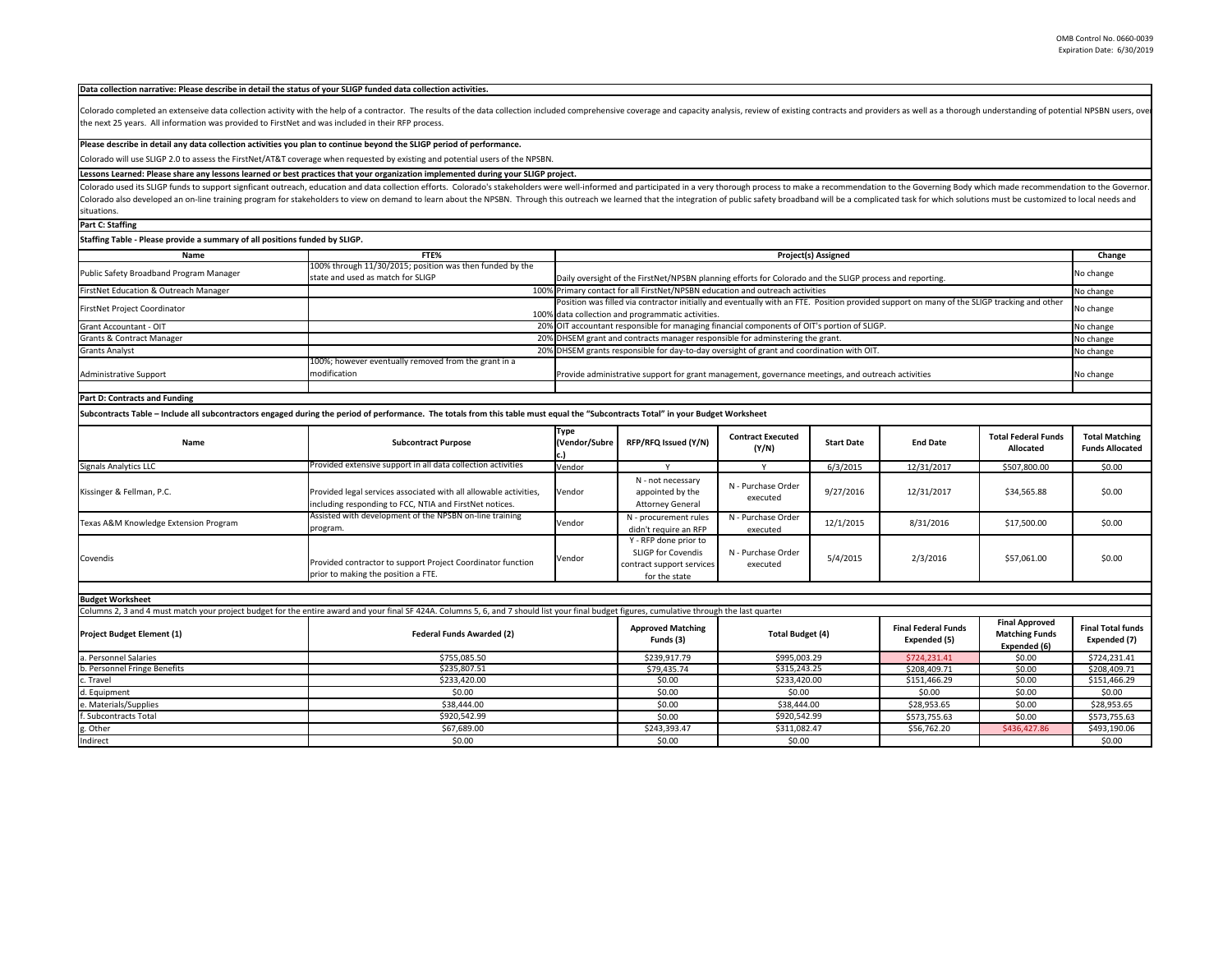| Data collection narrative: Please describe in detail the status of your SLIGP funded data collection activities.      |                                                                                                                                                                                                                                |                                                                                                          |                                                                                                                                            |                                   |                            |                                            |                                                                |                                                 |
|-----------------------------------------------------------------------------------------------------------------------|--------------------------------------------------------------------------------------------------------------------------------------------------------------------------------------------------------------------------------|----------------------------------------------------------------------------------------------------------|--------------------------------------------------------------------------------------------------------------------------------------------|-----------------------------------|----------------------------|--------------------------------------------|----------------------------------------------------------------|-------------------------------------------------|
| the next 25 years. All information was provided to FirstNet and was included in their RFP process.                    | Colorado completed an extenseive data collection activity with the help of a contractor. The results of the data collection included comprehensive coverage and capacity analysis, review of existing contracts and providers  |                                                                                                          |                                                                                                                                            |                                   |                            |                                            |                                                                |                                                 |
| Please describe in detail any data collection activities you plan to continue beyond the SLIGP period of performance. |                                                                                                                                                                                                                                |                                                                                                          |                                                                                                                                            |                                   |                            |                                            |                                                                |                                                 |
|                                                                                                                       | Colorado will use SLIGP 2.0 to assess the FirstNet/AT&T coverage when requested by existing and potential users of the NPSBN.                                                                                                  |                                                                                                          |                                                                                                                                            |                                   |                            |                                            |                                                                |                                                 |
|                                                                                                                       | Lessons Learned: Please share any lessons learned or best practices that your organization implemented during your SLIGP project.                                                                                              |                                                                                                          |                                                                                                                                            |                                   |                            |                                            |                                                                |                                                 |
|                                                                                                                       | Colorado used its SLIGP funds to support signficant outreach, education and data collection efforts. Colorado's stakeholders were well-informed and participated in a very thorough process to make a recommendation to the Go |                                                                                                          |                                                                                                                                            |                                   |                            |                                            |                                                                |                                                 |
|                                                                                                                       | Colorado also developed an on-line training program for stakeholders to view on demand to learn about the NPSBN. Through this outreach we learned that the integration of public safety broadband will be a complicated task f |                                                                                                          |                                                                                                                                            |                                   |                            |                                            |                                                                |                                                 |
| situations.                                                                                                           |                                                                                                                                                                                                                                |                                                                                                          |                                                                                                                                            |                                   |                            |                                            |                                                                |                                                 |
|                                                                                                                       |                                                                                                                                                                                                                                |                                                                                                          |                                                                                                                                            |                                   |                            |                                            |                                                                |                                                 |
| Part C: Staffing                                                                                                      |                                                                                                                                                                                                                                |                                                                                                          |                                                                                                                                            |                                   |                            |                                            |                                                                |                                                 |
| Staffing Table - Please provide a summary of all positions funded by SLIGP.                                           |                                                                                                                                                                                                                                |                                                                                                          |                                                                                                                                            |                                   |                            |                                            |                                                                |                                                 |
| Name                                                                                                                  | FTE%                                                                                                                                                                                                                           |                                                                                                          |                                                                                                                                            |                                   | <b>Project(s) Assigned</b> |                                            |                                                                | Change                                          |
| Public Safety Broadband Program Manager                                                                               | 100% through 11/30/2015; position was then funded by the<br>state and used as match for SLIGP                                                                                                                                  | Daily oversight of the FirstNet/NPSBN planning efforts for Colorado and the SLIGP process and reporting. |                                                                                                                                            |                                   |                            | No change                                  |                                                                |                                                 |
| FirstNet Education & Outreach Manager                                                                                 |                                                                                                                                                                                                                                |                                                                                                          | 100% Primary contact for all FirstNet/NPSBN education and outreach activities                                                              |                                   |                            |                                            |                                                                | No change                                       |
| FirstNet Project Coordinator                                                                                          |                                                                                                                                                                                                                                |                                                                                                          | Position was filled via contractor initially and eventually with an FTE. Position provided support on many of the SLIGP tracking and other |                                   |                            |                                            |                                                                | No change                                       |
|                                                                                                                       |                                                                                                                                                                                                                                |                                                                                                          | 100% data collection and programmatic activities.                                                                                          |                                   |                            |                                            |                                                                |                                                 |
| Grant Accountant - OIT                                                                                                |                                                                                                                                                                                                                                |                                                                                                          | 20% OIT accountant responsible for managing financial components of OIT's portion of SLIGP.                                                |                                   |                            |                                            |                                                                | No change                                       |
| <b>Grants &amp; Contract Manager</b>                                                                                  |                                                                                                                                                                                                                                |                                                                                                          | 20% DHSEM grant and contracts manager responsible for adminstering the grant.                                                              |                                   |                            |                                            |                                                                | No change                                       |
| <b>Grants Analyst</b>                                                                                                 |                                                                                                                                                                                                                                |                                                                                                          | 20% DHSEM grants responsible for day-to-day oversight of grant and coordination with OIT.                                                  |                                   |                            |                                            |                                                                | No change                                       |
| Administrative Support                                                                                                | 100%; however eventually removed from the grant in a<br>modification                                                                                                                                                           | Provide administrative support for grant management, governance meetings, and outreach activities        |                                                                                                                                            |                                   |                            |                                            | No change                                                      |                                                 |
|                                                                                                                       |                                                                                                                                                                                                                                |                                                                                                          |                                                                                                                                            |                                   |                            |                                            |                                                                |                                                 |
| <b>Part D: Contracts and Funding</b>                                                                                  |                                                                                                                                                                                                                                |                                                                                                          |                                                                                                                                            |                                   |                            |                                            |                                                                |                                                 |
|                                                                                                                       | Subcontracts Table - Include all subcontractors engaged during the period of performance. The totals from this table must equal the "Subcontracts Total" in your Budget Worksheet                                              |                                                                                                          |                                                                                                                                            |                                   |                            |                                            |                                                                |                                                 |
| Name                                                                                                                  | <b>Subcontract Purpose</b>                                                                                                                                                                                                     | Type<br>(Vendor/Subre                                                                                    | RFP/RFQ Issued (Y/N)                                                                                                                       | <b>Contract Executed</b><br>(Y/N) | <b>Start Date</b>          | <b>End Date</b>                            | <b>Total Federal Funds</b><br><b>Allocated</b>                 | <b>Total Matching</b><br><b>Funds Allocated</b> |
| <b>Signals Analytics LLC</b>                                                                                          | Provided extensive support in all data collection activities                                                                                                                                                                   | Vendor                                                                                                   |                                                                                                                                            | Y                                 | 6/3/2015                   | 12/31/2017                                 | \$507,800.00                                                   | \$0.00                                          |
| Kissinger & Fellman, P.C.                                                                                             | Provided legal services associated with all allowable activities,<br>including responding to FCC, NTIA and FirstNet notices.                                                                                                   | Vendor                                                                                                   | N - not necessary<br>appointed by the<br><b>Attorney General</b>                                                                           | N - Purchase Order<br>executed    | 9/27/2016                  | 12/31/2017                                 | \$34,565.88                                                    | \$0.00                                          |
| Texas A&M Knowledge Extension Program                                                                                 | Assisted with development of the NPSBN on-line training<br>program.                                                                                                                                                            | Vendor                                                                                                   | N - procurement rules<br>didn't require an RFP                                                                                             | N - Purchase Order<br>executed    | 12/1/2015                  | 8/31/2016                                  | \$17,500.00                                                    | \$0.00                                          |
| Covendis                                                                                                              | Provided contractor to support Project Coordinator function<br>prior to making the position a FTE.                                                                                                                             | Vendor                                                                                                   | Y - RFP done prior to<br>SLIGP for Covendis<br>contract support services<br>for the state                                                  | N - Purchase Order<br>executed    | 5/4/2015                   | 2/3/2016                                   | \$57,061.00                                                    | \$0.00                                          |
| <b>Budget Worksheet</b>                                                                                               |                                                                                                                                                                                                                                |                                                                                                          |                                                                                                                                            |                                   |                            |                                            |                                                                |                                                 |
|                                                                                                                       | Columns 2, 3 and 4 must match your project budget for the entire award and your final SF 424A. Columns 5, 6, and 7 should list your final budget figures, cumulative through the last quarter                                  |                                                                                                          |                                                                                                                                            |                                   |                            |                                            |                                                                |                                                 |
| Project Budget Element (1)                                                                                            | Federal Funds Awarded (2)                                                                                                                                                                                                      |                                                                                                          | <b>Approved Matching</b><br>Funds (3)                                                                                                      | <b>Total Budget (4)</b>           |                            | <b>Final Federal Funds</b><br>Expended (5) | <b>Final Approved</b><br><b>Matching Funds</b><br>Expended (6) | <b>Final Total funds</b><br>Expended (7)        |
| a. Personnel Salaries                                                                                                 | \$755,085.50                                                                                                                                                                                                                   |                                                                                                          | \$239,917.79                                                                                                                               | \$995,003.29                      |                            | \$724,231.41                               | \$0.00                                                         | \$724,231.41                                    |
| b. Personnel Fringe Benefits                                                                                          | \$235,807.51                                                                                                                                                                                                                   |                                                                                                          | \$79,435.74                                                                                                                                | \$315,243.25                      |                            | \$208,409.71                               | \$0.00                                                         | \$208,409.71                                    |
| c. Travel                                                                                                             | \$233,420.00                                                                                                                                                                                                                   |                                                                                                          | \$0.00                                                                                                                                     | \$233,420.00                      |                            | \$151,466.29                               | \$0.00                                                         | \$151,466.29                                    |
| d. Equipment                                                                                                          | \$0.00                                                                                                                                                                                                                         |                                                                                                          | \$0.00                                                                                                                                     | \$0.00                            |                            | \$0.00                                     | \$0.00                                                         | \$0.00                                          |
| e. Materials/Supplies<br>\$38,444.00                                                                                  |                                                                                                                                                                                                                                |                                                                                                          | \$0.00                                                                                                                                     | \$38,444.00                       |                            | \$28,953.65                                | \$0.00                                                         | \$28,953.65                                     |
| f. Subcontracts Total                                                                                                 | \$920,542.99                                                                                                                                                                                                                   |                                                                                                          | \$0.00                                                                                                                                     | \$920,542.99                      |                            | \$573,755.63                               | \$0.00                                                         | \$573,755.63                                    |
| g. Other                                                                                                              | \$67,689.00                                                                                                                                                                                                                    |                                                                                                          | \$243,393.47                                                                                                                               | \$311,082.47                      |                            | \$56,762.20                                | \$436,427.86                                                   | \$493,190.06                                    |
| Indirect                                                                                                              | \$0.00                                                                                                                                                                                                                         |                                                                                                          | \$0.00                                                                                                                                     | \$0.00                            |                            |                                            |                                                                | \$0.00                                          |